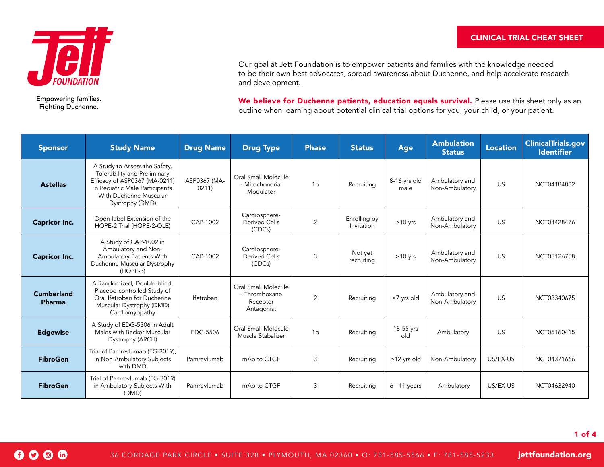

Empowering families. Fighting Duchenne.

0006

Our goal at Jett Foundation is to empower patients and families with the knowledge needed to be their own best advocates, spread awareness about Duchenne, and help accelerate research and development.

We believe for Duchenne patients, education equals survival. Please use this sheet only as an outline when learning about potential clinical trial options for you, your child, or your patient.

| <b>Sponsor</b>              | <b>Study Name</b>                                                                                                                                                             | <b>Drug Name</b>     | <b>Drug Type</b>                                               | <b>Phase</b>   | <b>Status</b>              | Age                  | <b>Ambulation</b><br><b>Status</b> | <b>Location</b> | <b>ClinicalTrials.gov</b><br><b>Identifier</b> |
|-----------------------------|-------------------------------------------------------------------------------------------------------------------------------------------------------------------------------|----------------------|----------------------------------------------------------------|----------------|----------------------------|----------------------|------------------------------------|-----------------|------------------------------------------------|
| <b>Astellas</b>             | A Study to Assess the Safety,<br>Tolerability and Preliminary<br>Efficacy of ASP0367 (MA-0211)<br>in Pediatric Male Participants<br>With Duchenne Muscular<br>Dystrophy (DMD) | ASP0367 (MA-<br>0211 | Oral Small Molecule<br>- Mitochondrial<br>Modulator            | 1 <sub>b</sub> | Recruiting                 | 8-16 yrs old<br>male | Ambulatory and<br>Non-Ambulatory   | <b>US</b>       | NCT04184882                                    |
| <b>Capricor Inc.</b>        | Open-label Extension of the<br>HOPE-2 Trial (HOPE-2-OLE)                                                                                                                      | CAP-1002             | Cardiosphere-<br>Derived Cells<br>(CDCs)                       | 2              | Enrolling by<br>Invitation | $\geq 10$ yrs        | Ambulatory and<br>Non-Ambulatory   | <b>US</b>       | NCT04428476                                    |
| <b>Capricor Inc.</b>        | A Study of CAP-1002 in<br>Ambulatory and Non-<br>Ambulatory Patients With<br>Duchenne Muscular Dystrophy<br>$(HOPE-3)$                                                        | CAP-1002             | Cardiosphere-<br><b>Derived Cells</b><br>(CDCs)                | 3              | Not yet<br>recruiting      | $\geq$ 10 yrs        | Ambulatory and<br>Non-Ambulatory   | <b>US</b>       | NCT05126758                                    |
| <b>Cumberland</b><br>Pharma | A Randomized, Double-blind,<br>Placebo-controlled Study of<br>Oral Ifetroban for Duchenne<br>Muscular Dystrophy (DMD)<br>Cardiomyopathy                                       | Ifetroban            | Oral Small Molecule<br>- Thromboxane<br>Receptor<br>Antagonist | 2              | Recruiting                 | $\geq$ 7 yrs old     | Ambulatory and<br>Non-Ambulatory   | US.             | NCT03340675                                    |
| <b>Edgewise</b>             | A Study of EDG-5506 in Adult<br>Males with Becker Muscular<br>Dystrophy (ARCH)                                                                                                | EDG-5506             | Oral Small Molecule<br>Muscle Stabalizer                       | 1 <sub>b</sub> | Recruiting                 | 18-55 yrs<br>old     | Ambulatory                         | US.             | NCT05160415                                    |
| <b>FibroGen</b>             | Trial of Pamrevlumab (FG-3019),<br>in Non-Ambulatory Subjects<br>with DMD                                                                                                     | Pamrevlumab          | mAb to CTGF                                                    | 3              | Recruiting                 | $\ge$ 12 yrs old     | Non-Ambulatory                     | US/EX-US        | NCT04371666                                    |
| <b>FibroGen</b>             | Trial of Pamrevlumab (FG-3019)<br>in Ambulatory Subjects With<br>(DMD)                                                                                                        | Pamrevlumab          | mAb to CTGF                                                    | 3              | Recruiting                 | $6 - 11$ years       | Ambulatory                         | US/EX-US        | NCT04632940                                    |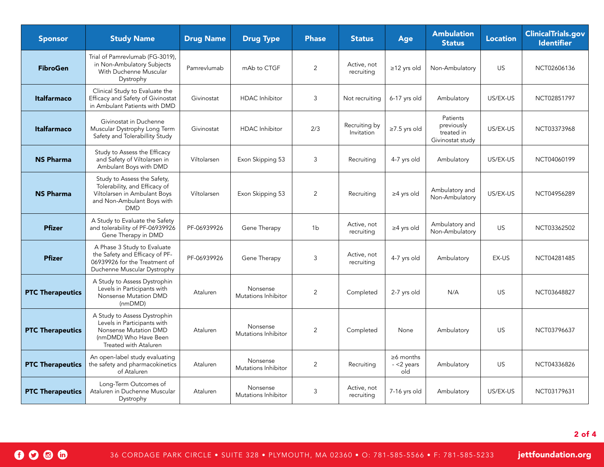| <b>Sponsor</b>          | <b>Study Name</b>                                                                                                                        | <b>Drug Name</b> | <b>Drug Type</b>                | <b>Phase</b>   | <b>Status</b>               | Age                                    | <b>Ambulation</b><br><b>Status</b>                       | <b>Location</b> | <b>ClinicalTrials.gov</b><br><b>Identifier</b> |
|-------------------------|------------------------------------------------------------------------------------------------------------------------------------------|------------------|---------------------------------|----------------|-----------------------------|----------------------------------------|----------------------------------------------------------|-----------------|------------------------------------------------|
| <b>FibroGen</b>         | Trial of Pamrevlumab (FG-3019),<br>in Non-Ambulatory Subjects<br>With Duchenne Muscular<br>Dystrophy                                     | Pamrevlumab      | mAb to CTGF                     | $\overline{2}$ | Active, not<br>recruiting   | $\ge$ 12 yrs old                       | Non-Ambulatory                                           | US              | NCT02606136                                    |
| <b>Italfarmaco</b>      | Clinical Study to Evaluate the<br>Efficacy and Safety of Givinostat<br>in Ambulant Patients with DMD                                     | Givinostat       | <b>HDAC</b> Inhibitor           | 3              | Not recruiting              | 6-17 yrs old                           | Ambulatory                                               | US/EX-US        | NCT02851797                                    |
| <b>Italfarmaco</b>      | Givinostat in Duchenne<br>Muscular Dystrophy Long Term<br>Safety and Tolerabillity Study                                                 | Givinostat       | <b>HDAC</b> Inhibitor           | 2/3            | Recruiting by<br>Invitation | $\ge$ 7.5 yrs old                      | Patients<br>previously<br>treated in<br>Givinostat study | US/EX-US        | NCT03373968                                    |
| <b>NS Pharma</b>        | Study to Assess the Efficacy<br>and Safety of Viltolarsen in<br>Ambulant Boys with DMD                                                   | Viltolarsen      | Exon Skipping 53                | 3              | Recruiting                  | 4-7 yrs old                            | Ambulatory                                               | US/EX-US        | NCT04060199                                    |
| <b>NS Pharma</b>        | Study to Assess the Safety,<br>Tolerability, and Efficacy of<br>Viltolarsen in Ambulant Boys<br>and Non-Ambulant Boys with<br><b>DMD</b> | Viltolarsen      | Exon Skipping 53                | 2              | Recruiting                  | $\geq$ 4 yrs old                       | Ambulatory and<br>Non-Ambulatory                         | US/EX-US        | NCT04956289                                    |
| <b>Pfizer</b>           | A Study to Evaluate the Safety<br>and tolerability of PF-06939926<br>Gene Therapy in DMD                                                 | PF-06939926      | Gene Therapy                    | 1b             | Active, not<br>recruiting   | $\geq$ 4 yrs old                       | Ambulatory and<br>Non-Ambulatory                         | <b>US</b>       | NCT03362502                                    |
| <b>Pfizer</b>           | A Phase 3 Study to Evaluate<br>the Safety and Efficacy of PF-<br>06939926 for the Treatment of<br>Duchenne Muscular Dystrophy            | PF-06939926      | Gene Therapy                    | $\mathbf{3}$   | Active, not<br>recruiting   | 4-7 yrs old                            | Ambulatory                                               | EX-US           | NCT04281485                                    |
| <b>PTC Therapeutics</b> | A Study to Assess Dystrophin<br>Levels in Participants with<br>Nonsense Mutation DMD<br>(nmDMD)                                          | Ataluren         | Nonsense<br>Mutations Inhibitor | $\overline{2}$ | Completed                   | 2-7 yrs old                            | N/A                                                      | <b>US</b>       | NCT03648827                                    |
| <b>PTC Therapeutics</b> | A Study to Assess Dystrophin<br>Levels in Participants with<br>Nonsense Mutation DMD<br>(nmDMD) Who Have Been<br>Treated with Ataluren   | Ataluren         | Nonsense<br>Mutations Inhibitor | $\overline{2}$ | Completed                   | None                                   | Ambulatory                                               | US              | NCT03796637                                    |
| <b>PTC Therapeutics</b> | An open-label study evaluating<br>the safety and pharmacokinetics<br>of Ataluren                                                         | Ataluren         | Nonsense<br>Mutations Inhibitor | 2              | Recruiting                  | $\geq 6$ months<br>$-$ <2 years<br>old | Ambulatory                                               | US              | NCT04336826                                    |
| <b>PTC Therapeutics</b> | Long-Term Outcomes of<br>Ataluren in Duchenne Muscular<br>Dystrophy                                                                      | Ataluren         | Nonsense<br>Mutations Inhibitor | 3              | Active, not<br>recruiting   | 7-16 yrs old                           | Ambulatory                                               | US/EX-US        | NCT03179631                                    |

2 of 4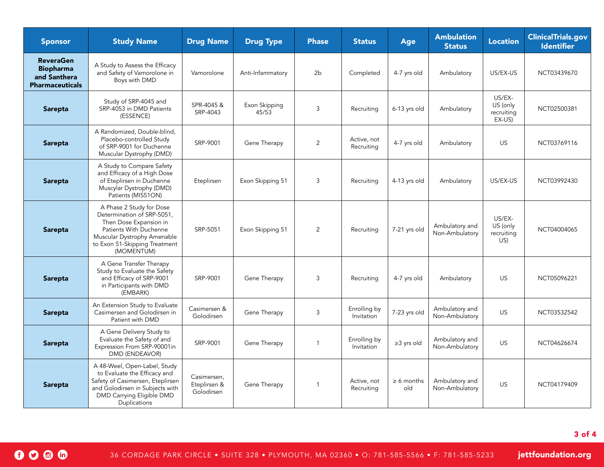| <b>Sponsor</b>                                                                 | <b>Study Name</b>                                                                                                                                                                        | <b>Drug Name</b>                          | <b>Drug Type</b>       | <b>Phase</b>             | <b>Status</b>              | Age                    | <b>Ambulation</b><br><b>Status</b> | <b>Location</b>                            | <b>ClinicalTrials.gov</b><br><b>Identifier</b> |
|--------------------------------------------------------------------------------|------------------------------------------------------------------------------------------------------------------------------------------------------------------------------------------|-------------------------------------------|------------------------|--------------------------|----------------------------|------------------------|------------------------------------|--------------------------------------------|------------------------------------------------|
| <b>ReveraGen</b><br><b>Biopharma</b><br>and Santhera<br><b>Pharmaceuticals</b> | A Study to Assess the Efficacy<br>and Safety of Vamorolone in<br>Boys with DMD                                                                                                           | Vamorolone                                | Anti-Infammatory       | 2 <sub>b</sub>           | Completed                  | 4-7 yrs old            | Ambulatory                         | US/EX-US                                   | NCT03439670                                    |
| <b>Sarepta</b>                                                                 | Study of SRP-4045 and<br>SRP-4053 in DMD Patients<br>(ESSENCE)                                                                                                                           | SPR-4045 &<br>SRP-4043                    | Exon Skipping<br>45/53 | $\mathfrak{Z}$           | Recruiting                 | 6-13 yrs old           | Ambulatory                         | US/EX-<br>US (only<br>recruiting<br>EX-US) | NCT02500381                                    |
| Sarepta                                                                        | A Randomized, Double-blind,<br>Placebo-controlled Study<br>of SRP-9001 for Duchenne<br>Muscular Dystrophy (DMD)                                                                          | SRP-9001                                  | Gene Therapy           | $\overline{2}$           | Active, not<br>Recruiting  | 4-7 yrs old            | Ambulatory                         | US                                         | NCT03769116                                    |
| Sarepta                                                                        | A Study to Compare Safety<br>and Efficacy of a High Dose<br>of Eteplirsen in Duchenne<br>Muscylar Dystrophy (DMD)<br>Patients (MIS51ON)                                                  | Eteplirsen                                | Exon Skipping 51       | 3                        | Recruiting                 | 4-13 yrs old           | Ambulatory                         | US/EX-US                                   | NCT03992430                                    |
| <b>Sarepta</b>                                                                 | A Phase 2 Study for Dose<br>Determination of SRP-5051,<br>Then Dose Expansion in<br>Patients With Duchenne<br>Muscular Dystrophy Amenable<br>to Exon 51-Skipping Treatment<br>(MOMENTUM) | SRP-5051                                  | Exon Skipping 51       | $\overline{2}$           | Recruiting                 | 7-21 yrs old           | Ambulatory and<br>Non-Ambulatory   | US/EX-<br>US (only<br>recruiting<br>US)    | NCT04004065                                    |
| Sarepta                                                                        | A Gene Transfer Therapy<br>Study to Evaluate the Safety<br>and Efficacy of SRP-9001<br>in Participants with DMD<br>(EMBARK)                                                              | SRP-9001                                  | Gene Therapy           | 3                        | Recruiting                 | 4-7 yrs old            | Ambulatory                         | US                                         | NCT05096221                                    |
| Sarepta                                                                        | An Extension Study to Evaluate<br>Casimersen and Golodirsen in<br>Patient with DMD                                                                                                       | Casimersen &<br>Golodirsen                | Gene Therapy           | 3                        | Enrolling by<br>Invitation | 7-23 yrs old           | Ambulatory and<br>Non-Ambulatory   | US                                         | NCT03532542                                    |
| <b>Sarepta</b>                                                                 | A Gene Delivery Study to<br>Evaluate the Safety of and<br>Expression From SRP-90001in<br>DMD (ENDEAVOR)                                                                                  | SRP-9001                                  | Gene Therapy           | $\overline{\phantom{a}}$ | Enrolling by<br>Invitation | $\geq$ 3 yrs old       | Ambulatory and<br>Non-Ambulatory   | US                                         | NCT04626674                                    |
| Sarepta                                                                        | A 48-Weel, Open-Label, Study<br>to Evaluate the Efficacy and<br>Safety of Casimersen, Eteplirsen<br>and Golodirsen in Subjects with<br>DMD Carrying Eligible DMD<br>Duplications         | Casimersen,<br>Eteplirsen &<br>Golodirsen | Gene Therapy           | $\overline{\phantom{a}}$ | Active, not<br>Recruiting  | $\geq 6$ months<br>old | Ambulatory and<br>Non-Ambulatory   | <b>US</b>                                  | NCT04179409                                    |

 $0000$